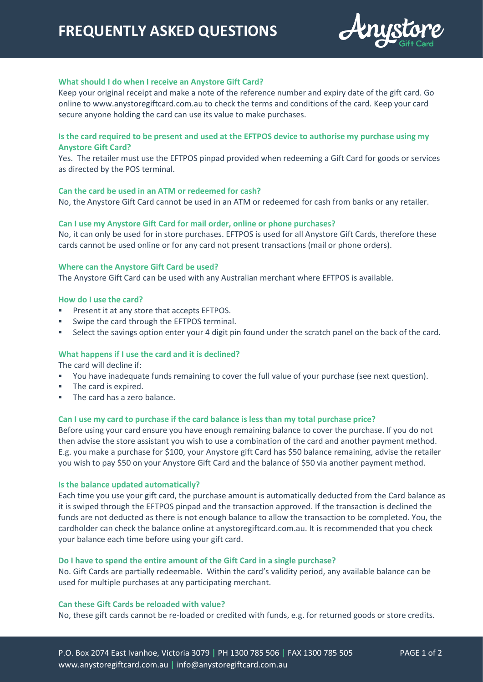# **FREQUENTLY ASKED QUESTIONS**



# **What should I do when I receive an Anystore Gift Card?**

Keep your original receipt and make a note of the reference number and expiry date of the gift card. Go online to www.anystoregiftcard.com.au to check the terms and conditions of the card. Keep your card secure anyone holding the card can use its value to make purchases.

# **Is the card required to be present and used at the EFTPOS device to authorise my purchase using my Anystore Gift Card?**

Yes. The retailer must use the EFTPOS pinpad provided when redeeming a Gift Card for goods or services as directed by the POS terminal.

## **Can the card be used in an ATM or redeemed for cash?**

No, the Anystore Gift Card cannot be used in an ATM or redeemed for cash from banks or any retailer.

## **Can I use my Anystore Gift Card for mail order, online or phone purchases?**

No, it can only be used for in store purchases. EFTPOS is used for all Anystore Gift Cards, therefore these cards cannot be used online or for any card not present transactions (mail or phone orders).

#### **Where can the Anystore Gift Card be used?**

The Anystore Gift Card can be used with any Australian merchant where EFTPOS is available.

### **How do I use the card?**

- Present it at any store that accepts EFTPOS.
- Swipe the card through the EFTPOS terminal.
- Select the savings option enter your 4 digit pin found under the scratch panel on the back of the card.

#### **What happens if I use the card and it is declined?**

The card will decline if:

- You have inadequate funds remaining to cover the full value of your purchase (see next question).
- The card is expired.
- The card has a zero balance.

# **Can I use my card to purchase if the card balance is less than my total purchase price?**

Before using your card ensure you have enough remaining balance to cover the purchase. If you do not then advise the store assistant you wish to use a combination of the card and another payment method. E.g. you make a purchase for \$100, your Anystore gift Card has \$50 balance remaining, advise the retailer you wish to pay \$50 on your Anystore Gift Card and the balance of \$50 via another payment method.

#### **Is the balance updated automatically?**

Each time you use your gift card, the purchase amount is automatically deducted from the Card balance as it is swiped through the EFTPOS pinpad and the transaction approved. If the transaction is declined the funds are not deducted as there is not enough balance to allow the transaction to be completed. You, the cardholder can check the balance online at anystoregiftcard.com.au. It is recommended that you check your balance each time before using your gift card.

#### **Do I have to spend the entire amount of the Gift Card in a single purchase?**

No. Gift Cards are partially redeemable. Within the card's validity period, any available balance can be used for multiple purchases at any participating merchant.

#### **Can these Gift Cards be reloaded with value?**

No, these gift cards cannot be re-loaded or credited with funds, e.g. for returned goods or store credits.